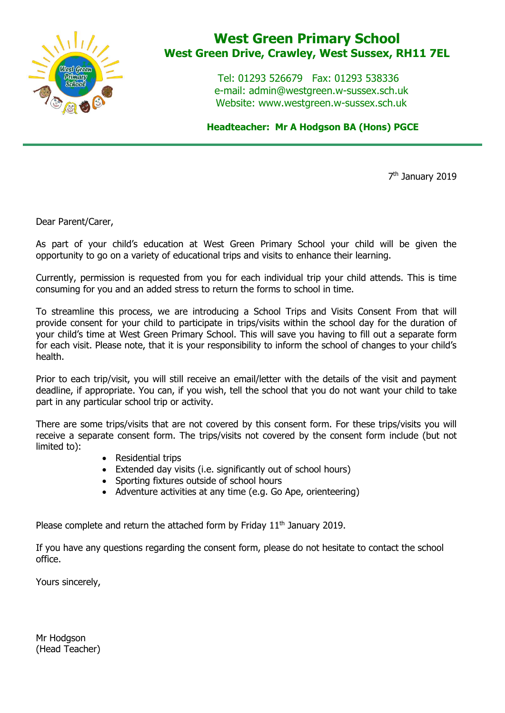

## **West Green Primary School West Green Drive, Crawley, West Sussex, RH11 7EL**

 Tel: 01293 526679 Fax: 01293 538336 e-mail: admin@westgreen.w-sussex.sch.uk Website: www.westgreen.w-sussex.sch.uk

 **Headteacher: Mr A Hodgson BA (Hons) PGCE**

7<sup>th</sup> January 2019

Dear Parent/Carer,

As part of your child's education at West Green Primary School your child will be given the opportunity to go on a variety of educational trips and visits to enhance their learning.

Currently, permission is requested from you for each individual trip your child attends. This is time consuming for you and an added stress to return the forms to school in time.

To streamline this process, we are introducing a School Trips and Visits Consent From that will provide consent for your child to participate in trips/visits within the school day for the duration of your child's time at West Green Primary School. This will save you having to fill out a separate form for each visit. Please note, that it is your responsibility to inform the school of changes to your child's health.

Prior to each trip/visit, you will still receive an email/letter with the details of the visit and payment deadline, if appropriate. You can, if you wish, tell the school that you do not want your child to take part in any particular school trip or activity.

There are some trips/visits that are not covered by this consent form. For these trips/visits you will receive a separate consent form. The trips/visits not covered by the consent form include (but not limited to):

- Residential trips
- Extended day visits (i.e. significantly out of school hours)
- Sporting fixtures outside of school hours
- Adventure activities at any time (e.g. Go Ape, orienteering)

Please complete and return the attached form by Friday 11<sup>th</sup> January 2019.

If you have any questions regarding the consent form, please do not hesitate to contact the school office.

Yours sincerely,

Mr Hodgson (Head Teacher)